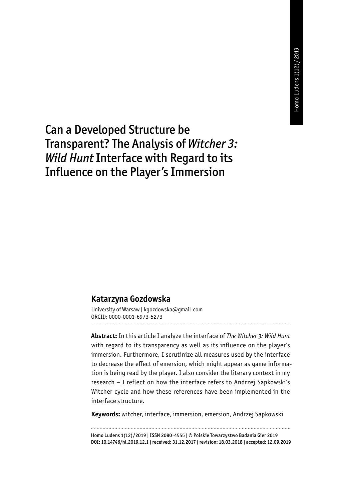Can a Developed Structure be Transparent? The Analysis of *Witcher 3: Wild Hunt* Interface with Regard to its Influence on the Player's Immersion

### **Katarzyna Gozdowska**

University of Warsaw | kgozdowska@gmail.com ORCID: 0000-0001-6973-5273 

**Abstract:** In this article I analyze the interface of *The Witcher 3: Wild Hunt*  with regard to its transparency as well as its influence on the player's immersion. Furthermore, I scrutinize all measures used by the interface to decrease the effect of emersion, which might appear as game information is being read by the player. I also consider the literary context in my research – I reflect on how the interface refers to Andrzej Sapkowski's Witcher cycle and how these references have been implemented in the interface structure.

**Keywords:** witcher, interface, immersion, emersion, Andrzej Sapkowski

Homo Ludens 1(12)/2019 | ISSN 2080-4555 | © Polskie Towarzystwo Badania Gier 2019 DOI: 10.14746/hl.2019.12.1 | received: 31.12.2017 | revision: 18.03.2018 | accepted: 12.09.2019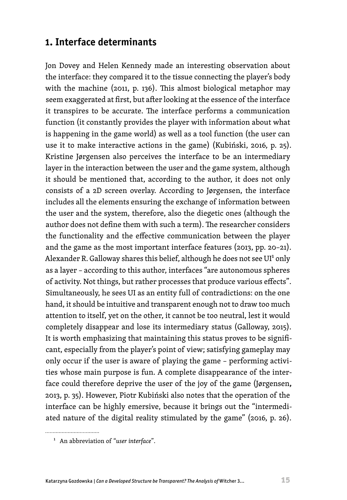# **1. Interface determinants**

Jon Dovey and Helen Kennedy made an interesting observation about the interface: they compared it to the tissue connecting the player's body with the machine (2011, p. 136). This almost biological metaphor may seem exaggerated at first, but after looking at the essence of the interface it transpires to be accurate. The interface performs a communication function (it constantly provides the player with information about what is happening in the game world) as well as a tool function (the user can use it to make interactive actions in the game) (Kubiński, 2016, p. 25). Kristine Jørgensen also perceives the interface to be an intermediary layer in the interaction between the user and the game system, although it should be mentioned that, according to the author, it does not only consists of a 2D screen overlay. According to Jørgensen, the interface includes all the elements ensuring the exchange of information between the user and the system, therefore, also the diegetic ones (although the author does not define them with such a term). The researcher considers the functionality and the effective communication between the player and the game as the most important interface features (2013, pp. 20–21). Alexander R. Galloway shares this belief, although he does not see  $UI<sup>1</sup>$  only as a layer – according to this author, interfaces "are autonomous spheres of activity. Not things, but rather processes that produce various effects". Simultaneously, he sees UI as an entity full of contradictions: on the one hand, it should be intuitive and transparent enough not to draw too much attention to itself, yet on the other, it cannot be too neutral, lest it would completely disappear and lose its intermediary status (Galloway, 2015). It is worth emphasizing that maintaining this status proves to be significant, especially from the player's point of view; satisfying gameplay may only occur if the user is aware of playing the game – performing activities whose main purpose is fun. A complete disappearance of the interface could therefore deprive the user of the joy of the game (Jørgensen**,**  2013, p. 35). However, Piotr Kubiński also notes that the operation of the interface can be highly emersive, because it brings out the "intermediated nature of the digital reality stimulated by the game" (2016, p. 26).

1 An abbreviation of "*user interface*".

................................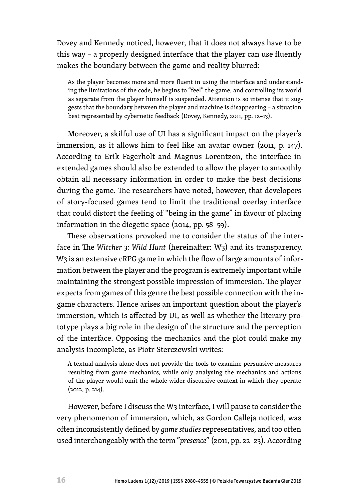Dovey and Kennedy noticed, however, that it does not always have to be this way – a properly designed interface that the player can use fluently makes the boundary between the game and reality blurred:

As the player becomes more and more fluent in using the interface and understanding the limitations of the code, he begins to "feel" the game, and controlling its world as separate from the player himself is suspended. Attention is so intense that it suggests that the boundary between the player and machine is disappearing – a situation best represented by cybernetic feedback (Dovey, Kennedy, 2011, pp. 12–13).

Moreover, a skilful use of UI has a significant impact on the player's immersion, as it allows him to feel like an avatar owner (2011, p. 147). According to Erik Fagerholt and Magnus Lorentzon, the interface in extended games should also be extended to allow the player to smoothly obtain all necessary information in order to make the best decisions during the game. The researchers have noted, however, that developers of story-focused games tend to limit the traditional overlay interface that could distort the feeling of "being in the game" in favour of placing information in the diegetic space (2014, pp. 58–59).

These observations provoked me to consider the status of the interface in The *Witcher 3: Wild Hunt* (hereinafter: W3) and its transparency. W3 is an extensive cRPG game in which the flow of large amounts of information between the player and the program is extremely important while maintaining the strongest possible impression of immersion. The player expects from games of this genre the best possible connection with the ingame characters. Hence arises an important question about the player's immersion, which is affected by UI, as well as whether the literary prototype plays a big role in the design of the structure and the perception of the interface. Opposing the mechanics and the plot could make my analysis incomplete, as Piotr Sterczewski writes:

A textual analysis alone does not provide the tools to examine persuasive measures resulting from game mechanics, while only analysing the mechanics and actions of the player would omit the whole wider discursive context in which they operate (2012, p. 214).

However, before I discuss the W3 interface, I will pause to consider the very phenomenon of immersion, which, as Gordon Calleja noticed, was often inconsistently defined by *game studies* representatives, and too often used interchangeably with the term "*presence*" (2011, pp. 22–23). According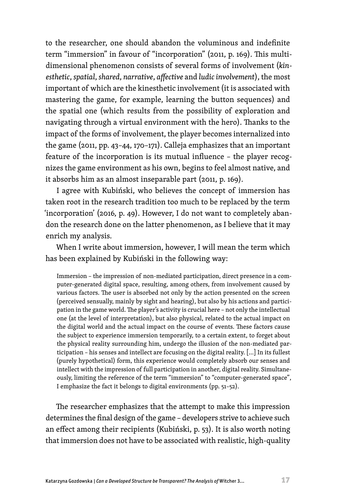to the researcher, one should abandon the voluminous and indefinite term "immersion" in favour of "incorporation" (2011, p. 169). This multidimensional phenomenon consists of several forms of involvement (*kinesthetic*, *spatial*, *shared*, *narrative*, *affective* and *ludicinvolvement*), the most important of which are the kinesthetic involvement (it is associated with mastering the game, for example, learning the button sequences) and the spatial one (which results from the possibility of exploration and navigating through a virtual environment with the hero). Thanks to the impact of the forms of involvement, the player becomes internalized into the game (2011, pp. 43–44, 170–171). Calleja emphasizes that an important feature of the incorporation is its mutual influence – the player recognizes the game environment as his own, begins to feel almost native, and it absorbs him as an almost inseparable part (2011, p. 169).

I agree with Kubiński, who believes the concept of immersion has taken root in the research tradition too much to be replaced by the term 'incorporation' (2016, p. 49). However, I do not want to completely abandon the research done on the latter phenomenon, as I believe that it may enrich my analysis.

When I write about immersion, however, I will mean the term which has been explained by Kubiński in the following way:

Immersion – the impression of non-mediated participation, direct presence in a computer-generated digital space, resulting, among others, from involvement caused by various factors. The user is absorbed not only by the action presented on the screen (perceived sensually, mainly by sight and hearing), but also by his actions and participation in the game world. The player's activity is crucial here – not only the intellectual one (at the level of interpretation), but also physical, related to the actual impact on the digital world and the actual impact on the course of events. These factors cause the subject to experience immersion temporarily, to a certain extent, to forget about the physical reality surrounding him, undergo the illusion of the non-mediated participation – his senses and intellect are focusing on the digital reality. […] In its fullest (purely hypothetical) form, this experience would completely absorb our senses and intellect with the impression of full participation in another, digital reality. Simultaneously, limiting the reference of the term "immersion" to "computer-generated space", I emphasize the fact it belongs to digital environments (pp. 51–52).

The researcher emphasizes that the attempt to make this impression determines the final design of the game – developers strive to achieve such an effect among their recipients (Kubiński, p. 53). It is also worth noting that immersion does not have to be associated with realistic, high-quality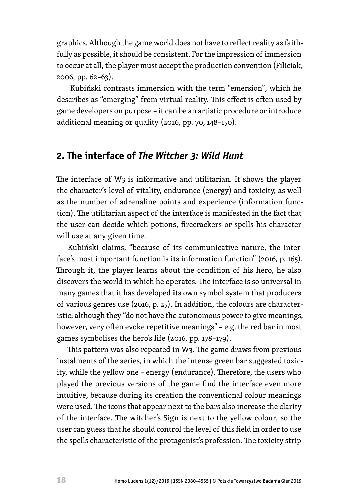graphics. Although the game world does not have to reflect reality as faithfully as possible, it should be consistent. For the impression of immersion to occur at all, the player must accept the production convention (Filiciak, 2006, pp. 62–63).

 Kubiński contrasts immersion with the term "emersion", which he describes as "emerging" from virtual reality. This effect is often used by game developers on purpose – it can be an artistic procedure or introduce additional meaning or quality (2016, pp. 70, 148–150).

## **2. The interface of** *The Witcher 3: Wild Hunt*

The interface of W3 is informative and utilitarian. It shows the player the character's level of vitality, endurance (energy) and toxicity, as well as the number of adrenaline points and experience (information function). The utilitarian aspect of the interface is manifested in the fact that the user can decide which potions, firecrackers or spells his character will use at any given time.

Kubiński claims, "because of its communicative nature, the interface's most important function is its information function" (2016, p. 165). Through it, the player learns about the condition of his hero, he also discovers the world in which he operates. The interface is so universal in many games that it has developed its own symbol system that producers of various genres use (2016, p. 25). In addition, the colours are characteristic, although they "do not have the autonomous power to give meanings, however, very often evoke repetitive meanings" – e.g. the red bar in most games symbolises the hero's life (2016, pp. 178–179).

This pattern was also repeated in W3. The game draws from previous instalments of the series, in which the intense green bar suggested toxicity, while the yellow one – energy (endurance). Therefore, the users who played the previous versions of the game find the interface even more intuitive, because during its creation the conventional colour meanings were used. The icons that appear next to the bars also increase the clarity of the interface. The witcher's Sign is next to the yellow colour, so the user can guess that he should control the level of this field in order to use the spells characteristic of the protagonist's profession. The toxicity strip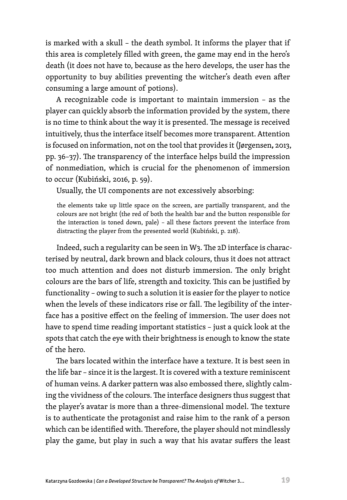is marked with a skull – the death symbol. It informs the player that if this area is completely filled with green, the game may end in the hero's death (it does not have to, because as the hero develops, the user has the opportunity to buy abilities preventing the witcher's death even after consuming a large amount of potions).

A recognizable code is important to maintain immersion – as the player can quickly absorb the information provided by the system, there is no time to think about the way it is presented. The message is received intuitively, thus the interface itself becomes more transparent. Attention is focused on information, not on the tool that provides it (Jørgensen**,** 2013, pp. 36–37). The transparency of the interface helps build the impression of nonmediation, which is crucial for the phenomenon of immersion to occur (Kubiński, 2016, p. 59).

Usually, the UI components are not excessively absorbing:

the elements take up little space on the screen, are partially transparent, and the colours are not bright (the red of both the health bar and the button responsible for the interaction is toned down, pale) – all these factors prevent the interface from distracting the player from the presented world (Kubiński, p. 218).

Indeed, such a regularity can be seen in W3. The 2D interface is characterised by neutral, dark brown and black colours, thus it does not attract too much attention and does not disturb immersion. The only bright colours are the bars of life, strength and toxicity. This can be justified by functionality – owing to such a solution it is easier for the player to notice when the levels of these indicators rise or fall. The legibility of the interface has a positive effect on the feeling of immersion. The user does not have to spend time reading important statistics – just a quick look at the spots that catch the eye with their brightness is enough to know the state of the hero.

The bars located within the interface have a texture. It is best seen in the life bar – since it is the largest. It is covered with a texture reminiscent of human veins. A darker pattern was also embossed there, slightly calming the vividness of the colours. The interface designers thus suggest that the player's avatar is more than a three-dimensional model. The texture is to authenticate the protagonist and raise him to the rank of a person which can be identified with. Therefore, the player should not mindlessly play the game, but play in such a way that his avatar suffers the least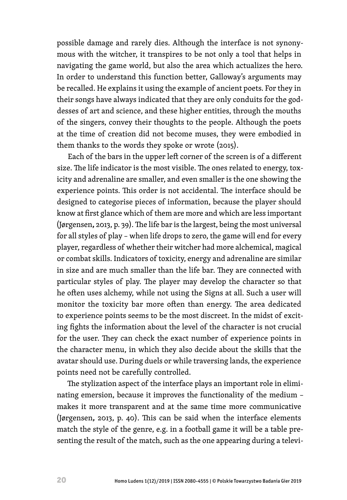possible damage and rarely dies. Although the interface is not synonymous with the witcher, it transpires to be not only a tool that helps in navigating the game world, but also the area which actualizes the hero. In order to understand this function better, Galloway's arguments may be recalled. He explains it using the example of ancient poets. For they in their songs have always indicated that they are only conduits for the goddesses of art and science, and these higher entities, through the mouths of the singers, convey their thoughts to the people. Although the poets at the time of creation did not become muses, they were embodied in them thanks to the words they spoke or wrote (2015).

Each of the bars in the upper left corner of the screen is of a different size. The life indicator is the most visible. The ones related to energy, toxicity and adrenaline are smaller, and even smaller is the one showing the experience points. This order is not accidental. The interface should be designed to categorise pieces of information, because the player should know at first glance which of them are more and which are less important (Jørgensen**,** 2013, p. 39). The life bar is the largest, being the most universal for all styles of play – when life drops to zero, the game will end for every player, regardless of whether their witcher had more alchemical, magical or combat skills. Indicators of toxicity, energy and adrenaline are similar in size and are much smaller than the life bar. They are connected with particular styles of play. The player may develop the character so that he often uses alchemy, while not using the Signs at all. Such a user will monitor the toxicity bar more often than energy. The area dedicated to experience points seems to be the most discreet. In the midst of exciting fights the information about the level of the character is not crucial for the user. They can check the exact number of experience points in the character menu, in which they also decide about the skills that the avatar should use. During duels or while traversing lands, the experience points need not be carefully controlled.

The stylization aspect of the interface plays an important role in eliminating emersion, because it improves the functionality of the medium – makes it more transparent and at the same time more communicative (Jørgensen**,** 2013, p. 40). This can be said when the interface elements match the style of the genre, e.g. in a football game it will be a table presenting the result of the match, such as the one appearing during a televi-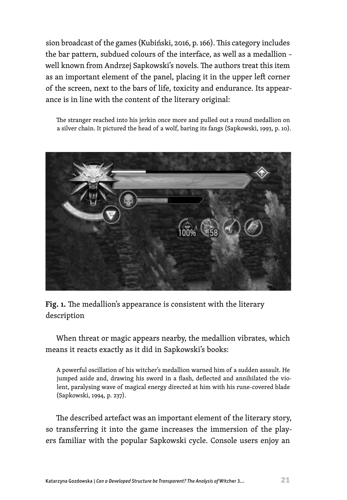sion broadcast of the games (Kubiński, 2016, p. 166). This category includes the bar pattern, subdued colours of the interface, as well as a medallion – well known from Andrzej Sapkowski's novels. The authors treat this item as an important element of the panel, placing it in the upper left corner of the screen, next to the bars of life, toxicity and endurance. Its appearance is in line with the content of the literary original:

The stranger reached into his jerkin once more and pulled out a round medallion on a silver chain. It pictured the head of a wolf, baring its fangs (Sapkowski, 1993, p. 10).



**Fig. 1.** The medallion's appearance is consistent with the literary description

When threat or magic appears nearby, the medallion vibrates, which means it reacts exactly as it did in Sapkowski's books:

A powerful oscillation of his witcher's medallion warned him of a sudden assault. He jumped aside and, drawing his sword in a flash, deflected and annihilated the violent, paralysing wave of magical energy directed at him with his rune-covered blade (Sapkowski, 1994, p. 237).

The described artefact was an important element of the literary story, so transferring it into the game increases the immersion of the players familiar with the popular Sapkowski cycle. Console users enjoy an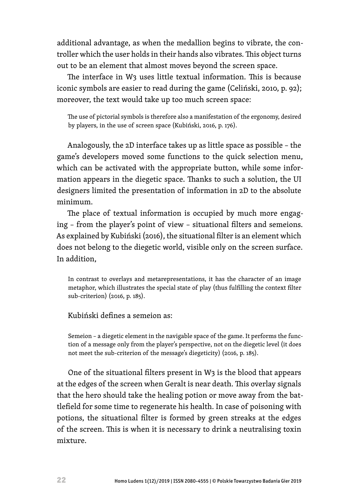additional advantage, as when the medallion begins to vibrate, the controller which the user holds in their hands also vibrates. This object turns out to be an element that almost moves beyond the screen space.

The interface in W3 uses little textual information. This is because iconic symbols are easier to read during the game (Celiński, 2010, p. 92); moreover, the text would take up too much screen space:

The use of pictorial symbols is therefore also a manifestation of the ergonomy, desired by players, in the use of screen space (Kubiński, 2016, p. 176).

Analogously, the 2D interface takes up as little space as possible – the game's developers moved some functions to the quick selection menu, which can be activated with the appropriate button, while some information appears in the diegetic space. Thanks to such a solution, the UI designers limited the presentation of information in 2D to the absolute minimum.

The place of textual information is occupied by much more engaging – from the player's point of view – situational filters and semeions. As explained by Kubiński (2016), the situational filter is an element which does not belong to the diegetic world, visible only on the screen surface. In addition,

In contrast to overlays and metarepresentations, it has the character of an image metaphor, which illustrates the special state of play (thus fulfilling the context filter sub-criterion) (2016, p. 185).

Kubiński defines a semeion as:

Semeion – a diegetic element in the navigable space of the game. It performs the function of a message only from the player's perspective, not on the diegetic level (it does not meet the sub-criterion of the message's diegeticity) (2016, p. 185).

One of the situational filters present in W3 is the blood that appears at the edges of the screen when Geralt is near death. This overlay signals that the hero should take the healing potion or move away from the battlefield for some time to regenerate his health. In case of poisoning with potions, the situational filter is formed by green streaks at the edges of the screen. This is when it is necessary to drink a neutralising toxin mixture.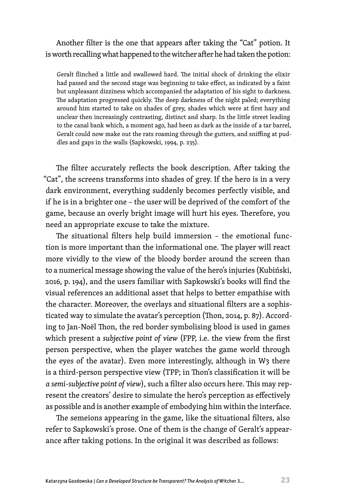### Another filter is the one that appears after taking the "Cat" potion. It is worth recalling what happened to the witcher after he had taken the potion:

Geralt flinched a little and swallowed hard. The initial shock of drinking the elixir had passed and the second stage was beginning to take effect, as indicated by a faint but unpleasant dizziness which accompanied the adaptation of his sight to darkness. The adaptation progressed quickly. The deep darkness of the night paled; everything around him started to take on shades of grey, shades which were at first hazy and unclear then increasingly contrasting, distinct and sharp. In the little street leading to the canal bank which, a moment ago, had been as dark as the inside of a tar barrel, Geralt could now make out the rats roaming through the gutters, and sniffing at puddles and gaps in the walls (Sapkowski, 1994, p. 235).

The filter accurately reflects the book description. After taking the "Cat", the screens transforms into shades of grey. If the hero is in a very dark environment, everything suddenly becomes perfectly visible, and if he is in a brighter one – the user will be deprived of the comfort of the game, because an overly bright image will hurt his eyes. Therefore, you need an appropriate excuse to take the mixture.

The situational filters help build immersion – the emotional function is more important than the informational one. The player will react more vividly to the view of the bloody border around the screen than to a numerical message showing the value of the hero's injuries (Kubiński, 2016, p. 194), and the users familiar with Sapkowski's books will find the visual references an additional asset that helps to better empathise with the character. Moreover, the overlays and situational filters are a sophisticated way to simulate the avatar's perception (Thon, 2014, p. 87). According to Jan-Noël Thon, the red border symbolising blood is used in games which present a *subjective point of view* (FPP, i.e. the view from the first person perspective, when the player watches the game world through the eyes of the avatar). Even more interestingly, although in W3 there is a third-person perspective view (TPP; in Thon's classification it will be *a semi-subjective point of view*), such a filter also occurs here. This may represent the creators' desire to simulate the hero's perception as effectively as possible and is another example of embodying him within the interface.

The semeions appearing in the game, like the situational filters, also refer to Sapkowski's prose. One of them is the change of Geralt's appearance after taking potions. In the original it was described as follows: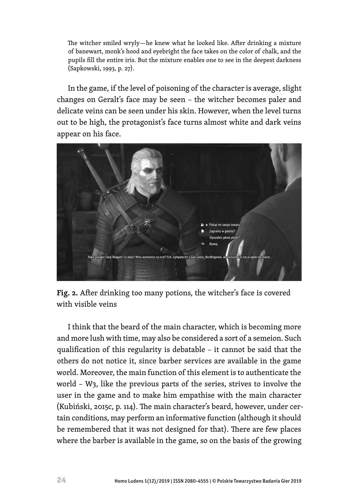The witcher smiled wryly—he knew what he looked like. After drinking a mixture of banewart, monk's hood and eyebright the face takes on the color of chalk, and the pupils fill the entire iris. But the mixture enables one to see in the deepest darkness (Sapkowski, 1993, p. 27).

In the game, if the level of poisoning of the character is average, slight changes on Geralt's face may be seen – the witcher becomes paler and delicate veins can be seen under his skin. However, when the level turns out to be high, the protagonist's face turns almost white and dark veins appear on his face.



**Fig. 2.** After drinking too many potions, the witcher's face is covered with visible veins

I think that the beard of the main character, which is becoming more and more lush with time, may also be considered a sort of a semeion. Such qualification of this regularity is debatable – it cannot be said that the others do not notice it, since barber services are available in the game world. Moreover, the main function of this element is to authenticate the world – W3, like the previous parts of the series, strives to involve the user in the game and to make him empathise with the main character (Kubiński, 2015c, p. 114). The main character's beard, however, under certain conditions, may perform an informative function (although it should be remembered that it was not designed for that). There are few places where the barber is available in the game, so on the basis of the growing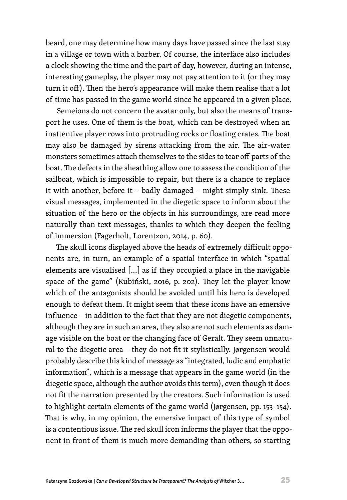beard, one may determine how many days have passed since the last stay in a village or town with a barber. Of course, the interface also includes a clock showing the time and the part of day, however, during an intense, interesting gameplay, the player may not pay attention to it (or they may turn it off). Then the hero's appearance will make them realise that a lot of time has passed in the game world since he appeared in a given place.

Semeions do not concern the avatar only, but also the means of transport he uses. One of them is the boat, which can be destroyed when an inattentive player rows into protruding rocks or floating crates. The boat may also be damaged by sirens attacking from the air. The air-water monsters sometimes attach themselves to the sides to tear off parts of the boat. The defects in the sheathing allow one to assess the condition of the sailboat, which is impossible to repair, but there is a chance to replace it with another, before it – badly damaged – might simply sink. These visual messages, implemented in the diegetic space to inform about the situation of the hero or the objects in his surroundings, are read more naturally than text messages, thanks to which they deepen the feeling of immersion (Fagerholt, Lorentzon, 2014, p. 60).

The skull icons displayed above the heads of extremely difficult opponents are, in turn, an example of a spatial interface in which "spatial elements are visualised [...] as if they occupied a place in the navigable space of the game" (Kubiński, 2016, p. 202). They let the player know which of the antagonists should be avoided until his hero is developed enough to defeat them. It might seem that these icons have an emersive influence – in addition to the fact that they are not diegetic components, although they are in such an area, they also are not such elements as damage visible on the boat or the changing face of Geralt. They seem unnatural to the diegetic area – they do not fit it stylistically. Jørgensen would probably describe this kind of message as "integrated, ludic and emphatic information", which is a message that appears in the game world (in the diegetic space, although the author avoids this term), even though it does not fit the narration presented by the creators. Such information is used to highlight certain elements of the game world (Jørgensen, pp. 153–154). That is why, in my opinion, the emersive impact of this type of symbol is a contentious issue. The red skull icon informs the player that the opponent in front of them is much more demanding than others, so starting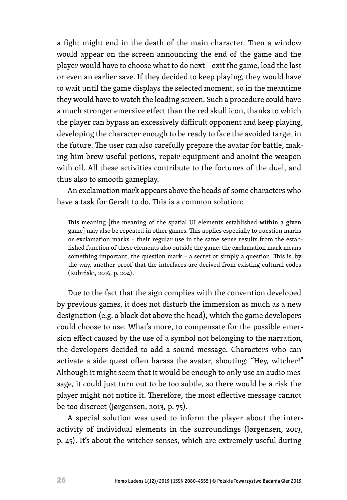a fight might end in the death of the main character. Then a window would appear on the screen announcing the end of the game and the player would have to choose what to do next – exit the game, load the last or even an earlier save. If they decided to keep playing, they would have to wait until the game displays the selected moment, so in the meantime they would have to watch the loading screen. Such a procedure could have a much stronger emersive effect than the red skull icon, thanks to which the player can bypass an excessively difficult opponent and keep playing, developing the character enough to be ready to face the avoided target in the future. The user can also carefully prepare the avatar for battle, making him brew useful potions, repair equipment and anoint the weapon with oil. All these activities contribute to the fortunes of the duel, and thus also to smooth gameplay.

An exclamation mark appears above the heads of some characters who have a task for Geralt to do. This is a common solution:

This meaning [the meaning of the spatial UI elements established within a given game] may also be repeated in other games. This applies especially to question marks or exclamation marks – their regular use in the same sense results from the established function of these elements also outside the game: the exclamation mark means something important, the question mark – a secret or simply a question. This is, by the way, another proof that the interfaces are derived from existing cultural codes (Kubiński, 2016, p. 204).

Due to the fact that the sign complies with the convention developed by previous games, it does not disturb the immersion as much as a new designation (e.g. a black dot above the head), which the game developers could choose to use. What's more, to compensate for the possible emersion effect caused by the use of a symbol not belonging to the narration, the developers decided to add a sound message. Characters who can activate a side quest often harass the avatar, shouting: "Hey, witcher!" Although it might seem that it would be enough to only use an audio message, it could just turn out to be too subtle, so there would be a risk the player might not notice it. Therefore, the most effective message cannot be too discreet (Jørgensen, 2013, p. 75).

A special solution was used to inform the player about the interactivity of individual elements in the surroundings (Jørgensen, 2013, p. 45). It's about the witcher senses, which are extremely useful during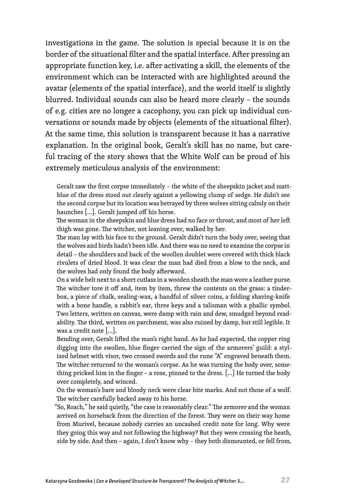investigations in the game. The solution is special because it is on the border of the situational filter and the spatial interface. After pressing an appropriate function key, i.e. after activating a skill, the elements of the environment which can be interacted with are highlighted around the avatar (elements of the spatial interface), and the world itself is slightly blurred. Individual sounds can also be heard more clearly – the sounds of e.g. cities are no longer a cacophony, you can pick up individual conversations or sounds made by objects (elements of the situational filter). At the same time, this solution is transparent because it has a narrative explanation. In the original book, Geralt's skill has no name, but careful tracing of the story shows that the White Wolf can be proud of his extremely meticulous analysis of the environment:

Geralt saw the first corpse immediately – the white of the sheepskin jacket and mattblue of the dress stood out clearly against a yellowing clump of sedge. He didn't see the second corpse but its location was betrayed by three wolves sitting calmly on their haunches […]. Geralt jumped off his horse.

The woman in the sheepskin and blue dress had no face or throat, and most of her left thigh was gone. The witcher, not leaning over, walked by her.

The man lay with his face to the ground. Geralt didn't turn the body over, seeing that the wolves and birds hadn't been idle. And there was no need to examine the corpse in detail – the shoulders and back of the woollen doublet were covered with thick black rivulets of dried blood. It was clear the man had died from a blow to the neck, and the wolves had only found the body afterward.

On a wide belt next to a short cutlass in a wooden sheath the man wore a leather purse. The witcher tore it off and, item by item, threw the contents on the grass: a tinderbox, a piece of chalk, sealing-wax, a handful of silver coins, a folding shaving-knife with a bone handle, a rabbit's ear, three keys and a talisman with a phallic symbol. Two letters, written on canvas, were damp with rain and dew, smudged beyond readability. The third, written on parchment, was also ruined by damp, but still legible. It was a credit note […].

Bending over, Geralt lifted the man's right hand. As he had expected, the copper ring digging into the swollen, blue finger carried the sign of the armorers' guild: a stylized helmet with visor, two crossed swords and the rune "A" engraved beneath them. The witcher returned to the woman's corpse. As he was turning the body over, something pricked him in the finger – a rose, pinned to the dress. […] He turned the body over completely, and winced.

On the woman's bare and bloody neck were clear bite marks. And not those of a wolf. The witcher carefully backed away to his horse.

"So, Roach," he said quietly, "the case is reasonably clear." The armorer and the woman arrived on horseback from the direction of the forest. They were on their way home from Murivel, because nobody carries an uncashed credit note for long. Why were they going this way and not following the highway? But they were crossing the heath, side by side. And then – again, I don't know why – they both dismounted, or fell from,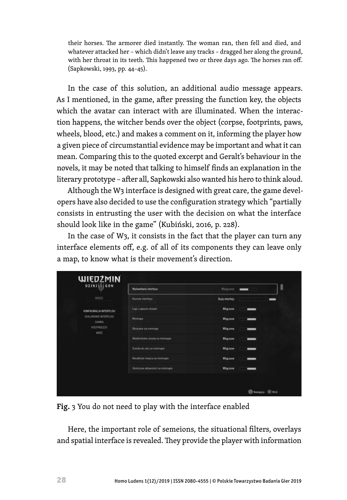their horses. The armorer died instantly. The woman ran, then fell and died, and whatever attacked her – which didn't leave any tracks – dragged her along the ground, with her throat in its teeth. This happened two or three days ago. The horses ran off. (Sapkowski, 1993, pp. 44–45).

In the case of this solution, an additional audio message appears. As I mentioned, in the game, after pressing the function key, the objects which the avatar can interact with are illuminated. When the interaction happens, the witcher bends over the object (corpse, footprints, paws, wheels, blood, etc.) and makes a comment on it, informing the player how a given piece of circumstantial evidence may be important and what it can mean. Comparing this to the quoted excerpt and Geralt's behaviour in the novels, it may be noted that talking to himself finds an explanation in the literary prototype – after all, Sapkowski also wanted his hero to think aloud.

Although the W3 interface is designed with great care, the game developers have also decided to use the configuration strategy which "partially consists in entrusting the user with the decision on what the interface should look like in the game" (Kubiński, 2016, p. 228).

In the case of W3, it consists in the fact that the player can turn any interface elements off, e.g. of all of its components they can leave only a map, to know what is their movement's direction.

| DZIKI I GON                                                                             | Wyświetlanie interfejsu           | Wyłączone      | -  |
|-----------------------------------------------------------------------------------------|-----------------------------------|----------------|----|
| WIDEO                                                                                   | Rozmiar interfejsu                | Duży interfejs |    |
| KONFIGURACJA INTERFEJSU<br>SKALOWANIE INTERFEJSU<br><b>GAMMA</b><br>POSTPROCESY<br>WRÓĆ | Logi z zapisem działań            | Włączone       |    |
|                                                                                         | Minimapa                          | Włączone       | _  |
|                                                                                         | Obracanie się minimapy            | Włączone       |    |
|                                                                                         | Wiedźmińskie zmysły na minimapie  | Włączone       |    |
|                                                                                         | Ścieżka do celu na minimapie      | Włączone       | -- |
|                                                                                         | Nieodkryte miejsca na minimapie   | Włączone       | -  |
|                                                                                         | Ukończone aktywności na minimapie | Włączone       | -- |
|                                                                                         |                                   |                |    |

**Fig.** 3 You do not need to play with the interface enabled

Here, the important role of semeions, the situational filters, overlays and spatial interface is revealed. They provide the player with information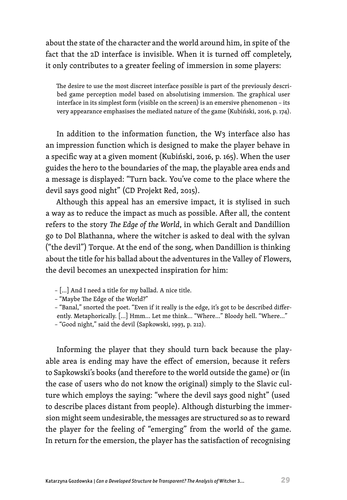about the state of the character and the world around him, in spite of the fact that the 2D interface is invisible. When it is turned off completely, it only contributes to a greater feeling of immersion in some players:

The desire to use the most discreet interface possible is part of the previously described game perception model based on absolutising immersion. The graphical user interface in its simplest form (visible on the screen) is an emersive phenomenon – its very appearance emphasises the mediated nature of the game (Kubiński, 2016, p. 174).

In addition to the information function, the W3 interface also has an impression function which is designed to make the player behave in a specific way at a given moment (Kubiński, 2016, p. 165). When the user guides the hero to the boundaries of the map, the playable area ends and a message is displayed: "Turn back. You've come to the place where the devil says good night" (CD Projekt Red, 2015).

Although this appeal has an emersive impact, it is stylised in such a way as to reduce the impact as much as possible. After all, the content refers to the story *The Edge of the World*, in which Geralt and Dandillion go to Dol Blathanna, where the witcher is asked to deal with the sylvan ("the devil") Torque. At the end of the song, when Dandillion is thinking about the title for his ballad about the adventures in the Valley of Flowers, the devil becomes an unexpected inspiration for him:

- […] And I need a title for my ballad. A nice title.
- "Maybe The Edge of the World?"
- "Banal," snorted the poet. "Even if it really is the edge, it's got to be described differently. Metaphorically. […] Hmm… Let me think… "Where…" Bloody hell. "Where…"
- "Good night," said the devil (Sapkowski, 1993, p. 212).

Informing the player that they should turn back because the playable area is ending may have the effect of emersion, because it refers to Sapkowski's books (and therefore to the world outside the game) or (in the case of users who do not know the original) simply to the Slavic culture which employs the saying: "where the devil says good night" (used to describe places distant from people). Although disturbing the immersion might seem undesirable, the messages are structured so as to reward the player for the feeling of "emerging" from the world of the game. In return for the emersion, the player has the satisfaction of recognising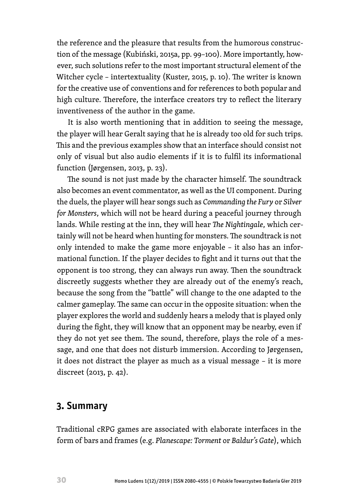the reference and the pleasure that results from the humorous construction of the message (Kubiński, 2015a, pp. 99–100). More importantly, however, such solutions refer to the most important structural element of the Witcher cycle – intertextuality (Kuster, 2015, p. 10). The writer is known for the creative use of conventions and for references to both popular and high culture. Therefore, the interface creators try to reflect the literary inventiveness of the author in the game.

It is also worth mentioning that in addition to seeing the message, the player will hear Geralt saying that he is already too old for such trips. This and the previous examples show that an interface should consist not only of visual but also audio elements if it is to fulfil its informational function (Jørgensen, 2013, p. 23).

The sound is not just made by the character himself. The soundtrack also becomes an event commentator, as well as the UI component. During the duels, the player will hear songs such as *Commanding the Fury* or *Silver for Monsters*, which will not be heard during a peaceful journey through lands. While resting at the inn, they will hear *The Nightingale*, which certainly will not be heard when hunting for monsters. The soundtrack is not only intended to make the game more enjoyable – it also has an informational function. If the player decides to fight and it turns out that the opponent is too strong, they can always run away. Then the soundtrack discreetly suggests whether they are already out of the enemy's reach, because the song from the "battle" will change to the one adapted to the calmer gameplay. The same can occur in the opposite situation: when the player explores the world and suddenly hears a melody that is played only during the fight, they will know that an opponent may be nearby, even if they do not yet see them. The sound, therefore, plays the role of a message, and one that does not disturb immersion. According to Jørgensen, it does not distract the player as much as a visual message – it is more discreet (2013, p. 42).

## **3. Summary**

Traditional cRPG games are associated with elaborate interfaces in the form of bars and frames (e.g. *Planescape: Torment* or *Baldur's Gate*), which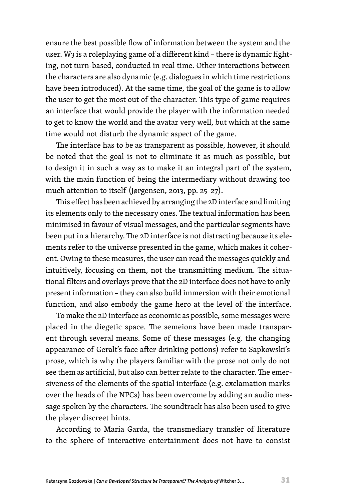ensure the best possible flow of information between the system and the user. W3 is a roleplaying game of a different kind – there is dynamic fighting, not turn-based, conducted in real time. Other interactions between the characters are also dynamic (e.g. dialogues in which time restrictions have been introduced). At the same time, the goal of the game is to allow the user to get the most out of the character. This type of game requires an interface that would provide the player with the information needed to get to know the world and the avatar very well, but which at the same time would not disturb the dynamic aspect of the game.

The interface has to be as transparent as possible, however, it should be noted that the goal is not to eliminate it as much as possible, but to design it in such a way as to make it an integral part of the system, with the main function of being the intermediary without drawing too much attention to itself (Jørgensen, 2013, pp. 25–27).

This effect has been achieved by arranging the 2D interface and limiting its elements only to the necessary ones. The textual information has been minimised in favour of visual messages, and the particular segments have been put in a hierarchy. The 2D interface is not distracting because its elements refer to the universe presented in the game, which makes it coherent. Owing to these measures, the user can read the messages quickly and intuitively, focusing on them, not the transmitting medium. The situational filters and overlays prove that the 2D interface does not have to only present information – they can also build immersion with their emotional function, and also embody the game hero at the level of the interface.

To make the 2D interface as economic as possible, some messages were placed in the diegetic space. The semeions have been made transparent through several means. Some of these messages (e.g. the changing appearance of Geralt's face after drinking potions) refer to Sapkowski's prose, which is why the players familiar with the prose not only do not see them as artificial, but also can better relate to the character. The emersiveness of the elements of the spatial interface (e.g. exclamation marks over the heads of the NPCs) has been overcome by adding an audio message spoken by the characters. The soundtrack has also been used to give the player discreet hints.

According to Maria Garda, the transmediary transfer of literature to the sphere of interactive entertainment does not have to consist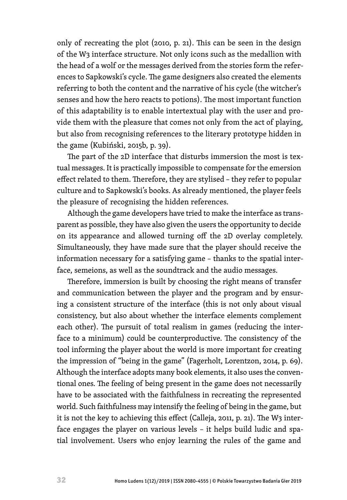only of recreating the plot (2010, p. 21). This can be seen in the design of the W3 interface structure. Not only icons such as the medallion with the head of a wolf or the messages derived from the stories form the references to Sapkowski's cycle. The game designers also created the elements referring to both the content and the narrative of his cycle (the witcher's senses and how the hero reacts to potions). The most important function of this adaptability is to enable intertextual play with the user and provide them with the pleasure that comes not only from the act of playing, but also from recognising references to the literary prototype hidden in the game (Kubiński, 2015b, p. 39).

The part of the 2D interface that disturbs immersion the most is textual messages. It is practically impossible to compensate for the emersion effect related to them. Therefore, they are stylised – they refer to popular culture and to Sapkowski's books. As already mentioned, the player feels the pleasure of recognising the hidden references.

Although the game developers have tried to make the interface as transparent as possible, they have also given the users the opportunity to decide on its appearance and allowed turning off the 2D overlay completely. Simultaneously, they have made sure that the player should receive the information necessary for a satisfying game – thanks to the spatial interface, semeions, as well as the soundtrack and the audio messages.

Therefore, immersion is built by choosing the right means of transfer and communication between the player and the program and by ensuring a consistent structure of the interface (this is not only about visual consistency, but also about whether the interface elements complement each other). The pursuit of total realism in games (reducing the interface to a minimum) could be counterproductive. The consistency of the tool informing the player about the world is more important for creating the impression of "being in the game" (Fagerholt, Lorentzon, 2014, p. 69). Although the interface adopts many book elements, it also uses the conventional ones. The feeling of being present in the game does not necessarily have to be associated with the faithfulness in recreating the represented world. Such faithfulness may intensify the feeling of being in the game, but it is not the key to achieving this effect (Calleja, 2011, p. 21). The W3 interface engages the player on various levels – it helps build ludic and spatial involvement. Users who enjoy learning the rules of the game and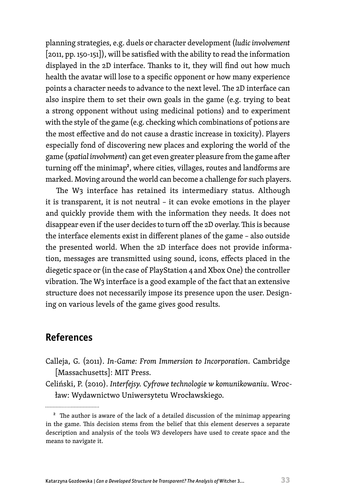planning strategies, e.g. duels or character development (*ludic involvement* [2011, pp. 150-151]), will be satisfied with the ability to read the information displayed in the 2D interface. Thanks to it, they will find out how much health the avatar will lose to a specific opponent or how many experience points a character needs to advance to the next level. The 2D interface can also inspire them to set their own goals in the game (e.g. trying to beat a strong opponent without using medicinal potions) and to experiment with the style of the game (e.g. checking which combinations of potions are the most effective and do not cause a drastic increase in toxicity). Players especially fond of discovering new places and exploring the world of the game (*spatial involvment*) can get even greater pleasure from the game after turning off the minimap<sup>2</sup>, where cities, villages, routes and landforms are marked. Moving around the world can become a challenge for such players.

The W3 interface has retained its intermediary status. Although it is transparent, it is not neutral – it can evoke emotions in the player and quickly provide them with the information they needs. It does not disappear even if the user decides to turn off the 2D overlay. This is because the interface elements exist in different planes of the game – also outside the presented world. When the 2D interface does not provide information, messages are transmitted using sound, icons, effects placed in the diegetic space or (in the case of PlayStation 4 and Xbox One) the controller vibration. The W3 interface is a good example of the fact that an extensive structure does not necessarily impose its presence upon the user. Designing on various levels of the game gives good results.

# **References**

Calleja, G. (2011). *In-Game: From Immersion to Incorporation*. Cambridge [Massachusetts]: MIT Press.

Celiński, P. (2010). *Interfejsy. Cyfrowe technologie w komunikowaniu*. Wrocław: Wydawnictwo Uniwersytetu Wrocławskiego.

<sup>&</sup>lt;sup>2</sup> The author is aware of the lack of a detailed discussion of the minimap appearing in the game. This decision stems from the belief that this element deserves a separate description and analysis of the tools W3 developers have used to create space and the means to navigate it.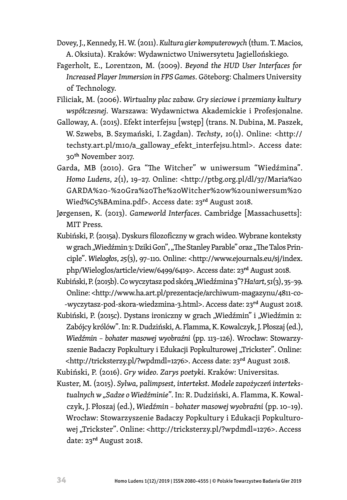- Dovey, J., Kennedy, H. W. (2011). *Kultura gier komputerowych* (tłum. T.Macios, A.Oksiuta). Kraków: Wydawnictwo Uniwersytetu Jagiellońskiego.
- Fagerholt, E., Lorentzon, M. (2009). *Beyond the HUD User Interfaces for Increased Player Immersion in FPS Games*. Göteborg: Chalmers University of Technology.
- Filiciak, M. (2006). *Wirtualny plac zabaw. Gry sieciowe i przemiany kultury współczesnej*. Warszawa: Wydawnictwa Akademickie i Profesjonalne.
- Galloway, A. (2015). Efekt interfejsu [wstęp] (trans. N. Dubina, M. Paszek, W. Szwebs, B. Szymański, I. Zagdan). *Techsty*, *10*(1). Online: <http:// techsty.art.pl/m10/a\_galloway\_efekt\_interfejsu.html>. Access date: 30th November 2017.
- Garda, MB (2010). Gra "The Witcher" w uniwersum "Wiedźmina". *Homo Ludens*, *2*(1), 19–27. Online: <http://ptbg.org.pl/dl/37/Maria%20 GARDA%20-%20Gra%20The%20Witcher%20w%20uniwersum%20 Wied%C5%BAmina.pdf>. Access date: 23<sup>rd</sup> August 2018.
- Jørgensen, K. (2013). *Gameworld Interfaces*. Cambridge [Massachusetts]: MIT Press.
- Kubiński, P. (2015a). Dyskurs filozoficzny w grach wideo. Wybrane konteksty w grach "Wiedźmin 3: Dziki Gon", "The Stanley Parable" oraz "The Talos Principle". *Wielogłos*, *25*(3), 97–110. Online: <http://www.ejournals.eu/sj/index. php/Wieloglos/article/view/6499/6419>. Access date: 23rd August 2018.
- Kubiński, P. (2015b). Co wyczytasz pod skórą "Wiedźmina 3"? *Ha!art*, 51(3), 35-39. Online: <http://www.ha.art.pl/prezentacje/archiwum-magazynu/4811-co- -wyczytasz-pod-skora-wiedzmina-3.html>. Access date: 23rd August 2018.
- Kubiński, P. (2015c). Dystans ironiczny w grach "Wiedźmin" i "Wiedźmin 2: Zabójcy królów". In: R.Dudziński, A.Flamma, K.Kowalczyk, J.Płoszaj(ed.), *Wiedźmin – bohater masowej wyobraźni* (pp. 113–126). Wrocław: Stowarzyszenie Badaczy Popkultury i Edukacji Popkulturowej "Trickster". Online: <http://tricksterzy.pl/?wpdmdl=1276>. Access date: 23rd August 2018.
- Kubiński, P. (2016). *Gry wideo. Zarys poetyki*. Kraków: Universitas.
- Kuster, M. (2015). *Sylwa, palimpsest, intertekst. Modele zapożyczeń intertekstualnych w "Sadze o Wiedźminie"*. In: R.Dudziński, A. Flamma, K.Kowalczyk, J. Płoszaj (ed.), *Wiedźmin – bohater masowej wyobraźni* (pp. 10–19). Wrocław: Stowarzyszenie Badaczy Popkultury i Edukacji Popkulturowej "Trickster". Online: <http://tricksterzy.pl/?wpdmdl=1276>. Access date: 23rd August 2018.